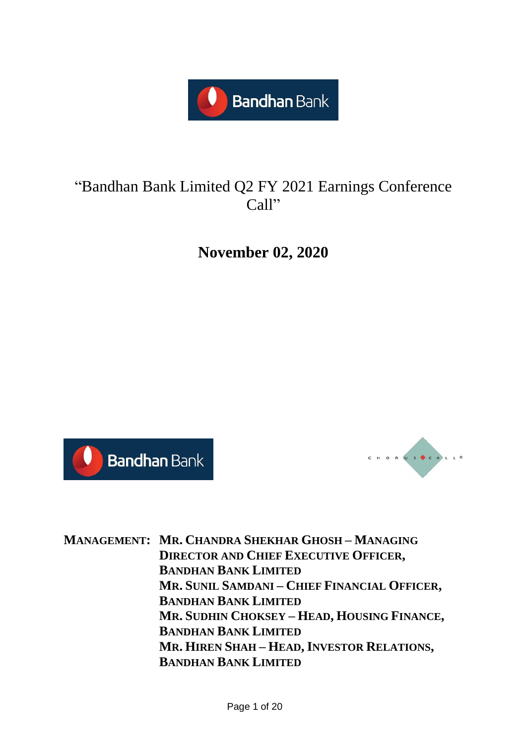

### "Bandhan Bank Limited Q2 FY 2021 Earnings Conference Call"

**November 02, 2020**





**MANAGEMENT: MR. CHANDRA SHEKHAR GHOSH – MANAGING DIRECTOR AND CHIEF EXECUTIVE OFFICER, BANDHAN BANK LIMITED MR. SUNIL SAMDANI – CHIEF FINANCIAL OFFICER, BANDHAN BANK LIMITED MR. SUDHIN CHOKSEY – HEAD, HOUSING FINANCE, BANDHAN BANK LIMITED MR. HIREN SHAH – HEAD, INVESTOR RELATIONS, BANDHAN BANK LIMITED**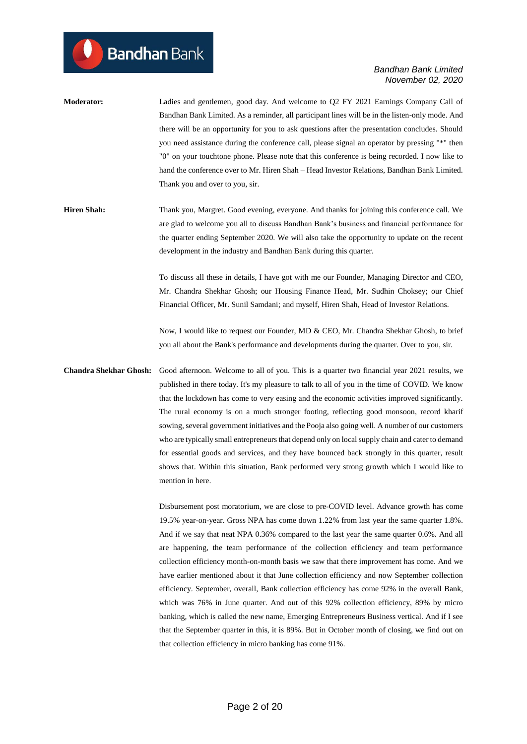- **Moderator:** Ladies and gentlemen, good day. And welcome to Q2 FY 2021 Earnings Company Call of Bandhan Bank Limited. As a reminder, all participant lines will be in the listen-only mode. And there will be an opportunity for you to ask questions after the presentation concludes. Should you need assistance during the conference call, please signal an operator by pressing "\*" then "0" on your touchtone phone. Please note that this conference is being recorded. I now like to hand the conference over to Mr. Hiren Shah – Head Investor Relations, Bandhan Bank Limited. Thank you and over to you, sir.
- **Hiren Shah:** Thank you, Margret. Good evening, everyone. And thanks for joining this conference call. We are glad to welcome you all to discuss Bandhan Bank's business and financial performance for the quarter ending September 2020. We will also take the opportunity to update on the recent development in the industry and Bandhan Bank during this quarter.

To discuss all these in details, I have got with me our Founder, Managing Director and CEO, Mr. Chandra Shekhar Ghosh; our Housing Finance Head, Mr. Sudhin Choksey; our Chief Financial Officer, Mr. Sunil Samdani; and myself, Hiren Shah, Head of Investor Relations.

Now, I would like to request our Founder, MD & CEO, Mr. Chandra Shekhar Ghosh, to brief you all about the Bank's performance and developments during the quarter. Over to you, sir.

**Chandra Shekhar Ghosh:** Good afternoon. Welcome to all of you. This is a quarter two financial year 2021 results, we published in there today. It's my pleasure to talk to all of you in the time of COVID. We know that the lockdown has come to very easing and the economic activities improved significantly. The rural economy is on a much stronger footing, reflecting good monsoon, record kharif sowing, several government initiatives and the Pooja also going well. A number of our customers who are typically small entrepreneurs that depend only on local supply chain and cater to demand for essential goods and services, and they have bounced back strongly in this quarter, result shows that. Within this situation, Bank performed very strong growth which I would like to mention in here.

> Disbursement post moratorium, we are close to pre-COVID level. Advance growth has come 19.5% year-on-year. Gross NPA has come down 1.22% from last year the same quarter 1.8%. And if we say that neat NPA 0.36% compared to the last year the same quarter 0.6%. And all are happening, the team performance of the collection efficiency and team performance collection efficiency month-on-month basis we saw that there improvement has come. And we have earlier mentioned about it that June collection efficiency and now September collection efficiency. September, overall, Bank collection efficiency has come 92% in the overall Bank, which was 76% in June quarter. And out of this 92% collection efficiency, 89% by micro banking, which is called the new name, Emerging Entrepreneurs Business vertical. And if I see that the September quarter in this, it is 89%. But in October month of closing, we find out on that collection efficiency in micro banking has come 91%.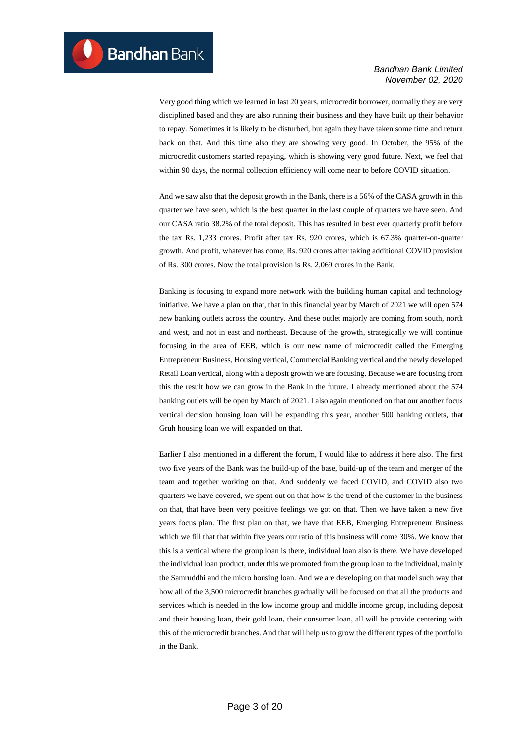Very good thing which we learned in last 20 years, microcredit borrower, normally they are very disciplined based and they are also running their business and they have built up their behavior to repay. Sometimes it is likely to be disturbed, but again they have taken some time and return back on that. And this time also they are showing very good. In October, the 95% of the microcredit customers started repaying, which is showing very good future. Next, we feel that within 90 days, the normal collection efficiency will come near to before COVID situation.

And we saw also that the deposit growth in the Bank, there is a 56% of the CASA growth in this quarter we have seen, which is the best quarter in the last couple of quarters we have seen. And our CASA ratio 38.2% of the total deposit. This has resulted in best ever quarterly profit before the tax Rs. 1,233 crores. Profit after tax Rs. 920 crores, which is 67.3% quarter-on-quarter growth. And profit, whatever has come, Rs. 920 crores after taking additional COVID provision of Rs. 300 crores. Now the total provision is Rs. 2,069 crores in the Bank.

Banking is focusing to expand more network with the building human capital and technology initiative. We have a plan on that, that in this financial year by March of 2021 we will open 574 new banking outlets across the country. And these outlet majorly are coming from south, north and west, and not in east and northeast. Because of the growth, strategically we will continue focusing in the area of EEB, which is our new name of microcredit called the Emerging Entrepreneur Business, Housing vertical, Commercial Banking vertical and the newly developed Retail Loan vertical, along with a deposit growth we are focusing. Because we are focusing from this the result how we can grow in the Bank in the future. I already mentioned about the 574 banking outlets will be open by March of 2021. I also again mentioned on that our another focus vertical decision housing loan will be expanding this year, another 500 banking outlets, that Gruh housing loan we will expanded on that.

Earlier I also mentioned in a different the forum, I would like to address it here also. The first two five years of the Bank was the build-up of the base, build-up of the team and merger of the team and together working on that. And suddenly we faced COVID, and COVID also two quarters we have covered, we spent out on that how is the trend of the customer in the business on that, that have been very positive feelings we got on that. Then we have taken a new five years focus plan. The first plan on that, we have that EEB, Emerging Entrepreneur Business which we fill that that within five years our ratio of this business will come 30%. We know that this is a vertical where the group loan is there, individual loan also is there. We have developed the individual loan product, under this we promoted from the group loan to the individual, mainly the Samruddhi and the micro housing loan. And we are developing on that model such way that how all of the 3,500 microcredit branches gradually will be focused on that all the products and services which is needed in the low income group and middle income group, including deposit and their housing loan, their gold loan, their consumer loan, all will be provide centering with this of the microcredit branches. And that will help us to grow the different types of the portfolio in the Bank.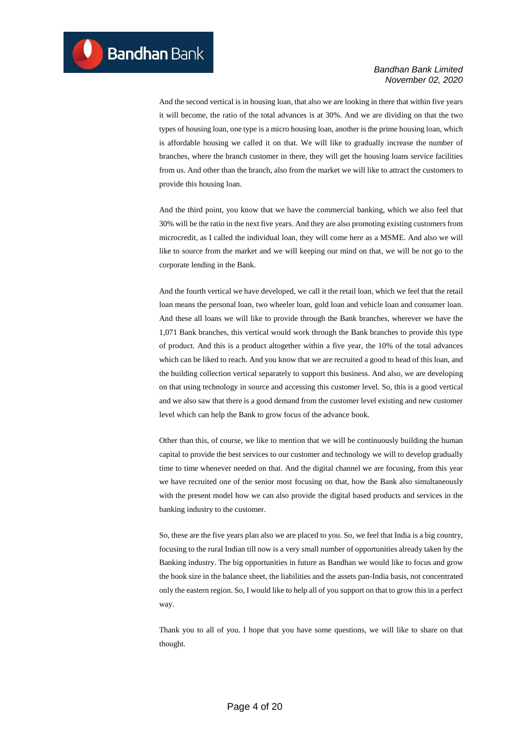And the second vertical is in housing loan, that also we are looking in there that within five years it will become, the ratio of the total advances is at 30%. And we are dividing on that the two types of housing loan, one type is a micro housing loan, another is the prime housing loan, which is affordable housing we called it on that. We will like to gradually increase the number of branches, where the branch customer in there, they will get the housing loans service facilities from us. And other than the branch, also from the market we will like to attract the customers to provide this housing loan.

And the third point, you know that we have the commercial banking, which we also feel that 30% will be the ratio in the next five years. And they are also promoting existing customers from microcredit, as I called the individual loan, they will come here as a MSME. And also we will like to source from the market and we will keeping our mind on that, we will be not go to the corporate lending in the Bank.

And the fourth vertical we have developed, we call it the retail loan, which we feel that the retail loan means the personal loan, two wheeler loan, gold loan and vehicle loan and consumer loan. And these all loans we will like to provide through the Bank branches, wherever we have the 1,071 Bank branches, this vertical would work through the Bank branches to provide this type of product. And this is a product altogether within a five year, the 10% of the total advances which can be liked to reach. And you know that we are recruited a good to head of this loan, and the building collection vertical separately to support this business. And also, we are developing on that using technology in source and accessing this customer level. So, this is a good vertical and we also saw that there is a good demand from the customer level existing and new customer level which can help the Bank to grow focus of the advance book.

Other than this, of course, we like to mention that we will be continuously building the human capital to provide the best services to our customer and technology we will to develop gradually time to time whenever needed on that. And the digital channel we are focusing, from this year we have recruited one of the senior most focusing on that, how the Bank also simultaneously with the present model how we can also provide the digital based products and services in the banking industry to the customer.

So, these are the five years plan also we are placed to you. So, we feel that India is a big country, focusing to the rural Indian till now is a very small number of opportunities already taken by the Banking industry. The big opportunities in future as Bandhan we would like to focus and grow the book size in the balance sheet, the liabilities and the assets pan-India basis, not concentrated only the eastern region. So, I would like to help all of you support on that to grow this in a perfect way.

Thank you to all of you. I hope that you have some questions, we will like to share on that thought.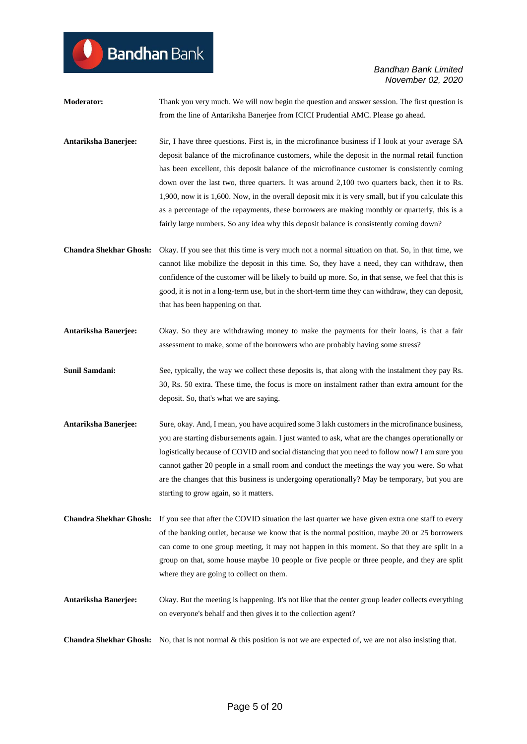**Moderator:** Thank you very much. We will now begin the question and answer session. The first question is from the line of Antariksha Banerjee from ICICI Prudential AMC. Please go ahead.

- **Antariksha Banerjee:** Sir, I have three questions. First is, in the microfinance business if I look at your average SA deposit balance of the microfinance customers, while the deposit in the normal retail function has been excellent, this deposit balance of the microfinance customer is consistently coming down over the last two, three quarters. It was around 2,100 two quarters back, then it to Rs. 1,900, now it is 1,600. Now, in the overall deposit mix it is very small, but if you calculate this as a percentage of the repayments, these borrowers are making monthly or quarterly, this is a fairly large numbers. So any idea why this deposit balance is consistently coming down?
- **Chandra Shekhar Ghosh:** Okay. If you see that this time is very much not a normal situation on that. So, in that time, we cannot like mobilize the deposit in this time. So, they have a need, they can withdraw, then confidence of the customer will be likely to build up more. So, in that sense, we feel that this is good, it is not in a long-term use, but in the short-term time they can withdraw, they can deposit, that has been happening on that.
- **Antariksha Banerjee:** Okay. So they are withdrawing money to make the payments for their loans, is that a fair assessment to make, some of the borrowers who are probably having some stress?
- **Sunil Samdani:** See, typically, the way we collect these deposits is, that along with the instalment they pay Rs. 30, Rs. 50 extra. These time, the focus is more on instalment rather than extra amount for the deposit. So, that's what we are saying.
- **Antariksha Banerjee:** Sure, okay. And, I mean, you have acquired some 3 lakh customers in the microfinance business, you are starting disbursements again. I just wanted to ask, what are the changes operationally or logistically because of COVID and social distancing that you need to follow now? I am sure you cannot gather 20 people in a small room and conduct the meetings the way you were. So what are the changes that this business is undergoing operationally? May be temporary, but you are starting to grow again, so it matters.
- **Chandra Shekhar Ghosh:** If you see that after the COVID situation the last quarter we have given extra one staff to every of the banking outlet, because we know that is the normal position, maybe 20 or 25 borrowers can come to one group meeting, it may not happen in this moment. So that they are split in a group on that, some house maybe 10 people or five people or three people, and they are split where they are going to collect on them.
- **Antariksha Banerjee:** Okay. But the meeting is happening. It's not like that the center group leader collects everything on everyone's behalf and then gives it to the collection agent?

**Chandra Shekhar Ghosh:** No, that is not normal & this position is not we are expected of, we are not also insisting that.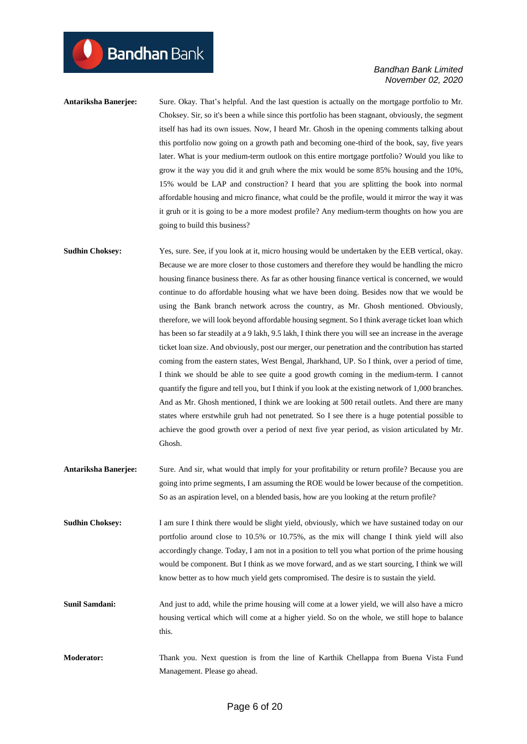**Antariksha Banerjee:** Sure. Okay. That's helpful. And the last question is actually on the mortgage portfolio to Mr. Choksey. Sir, so it's been a while since this portfolio has been stagnant, obviously, the segment itself has had its own issues. Now, I heard Mr. Ghosh in the opening comments talking about this portfolio now going on a growth path and becoming one-third of the book, say, five years later. What is your medium-term outlook on this entire mortgage portfolio? Would you like to grow it the way you did it and gruh where the mix would be some 85% housing and the 10%, 15% would be LAP and construction? I heard that you are splitting the book into normal affordable housing and micro finance, what could be the profile, would it mirror the way it was it gruh or it is going to be a more modest profile? Any medium-term thoughts on how you are going to build this business?

**Sudhin Choksey:** Yes, sure. See, if you look at it, micro housing would be undertaken by the EEB vertical, okay. Because we are more closer to those customers and therefore they would be handling the micro housing finance business there. As far as other housing finance vertical is concerned, we would continue to do affordable housing what we have been doing. Besides now that we would be using the Bank branch network across the country, as Mr. Ghosh mentioned. Obviously, therefore, we will look beyond affordable housing segment. So I think average ticket loan which has been so far steadily at a 9 lakh, 9.5 lakh, I think there you will see an increase in the average ticket loan size. And obviously, post our merger, our penetration and the contribution has started coming from the eastern states, West Bengal, Jharkhand, UP. So I think, over a period of time, I think we should be able to see quite a good growth coming in the medium-term. I cannot quantify the figure and tell you, but I think if you look at the existing network of 1,000 branches. And as Mr. Ghosh mentioned, I think we are looking at 500 retail outlets. And there are many states where erstwhile gruh had not penetrated. So I see there is a huge potential possible to achieve the good growth over a period of next five year period, as vision articulated by Mr. Ghosh.

**Antariksha Banerjee:** Sure. And sir, what would that imply for your profitability or return profile? Because you are going into prime segments, I am assuming the ROE would be lower because of the competition. So as an aspiration level, on a blended basis, how are you looking at the return profile?

**Sudhin Choksey:** I am sure I think there would be slight yield, obviously, which we have sustained today on our portfolio around close to 10.5% or 10.75%, as the mix will change I think yield will also accordingly change. Today, I am not in a position to tell you what portion of the prime housing would be component. But I think as we move forward, and as we start sourcing, I think we will know better as to how much yield gets compromised. The desire is to sustain the yield.

- **Sunil Samdani:** And just to add, while the prime housing will come at a lower yield, we will also have a micro housing vertical which will come at a higher yield. So on the whole, we still hope to balance this.
- **Moderator:** Thank you. Next question is from the line of Karthik Chellappa from Buena Vista Fund Management. Please go ahead.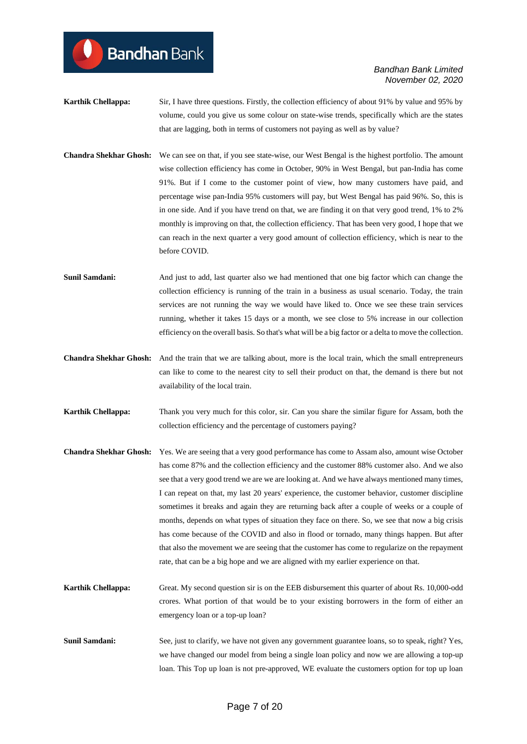## **Bandhan** Bank

- **Karthik Chellappa:** Sir, I have three questions. Firstly, the collection efficiency of about 91% by value and 95% by volume, could you give us some colour on state-wise trends, specifically which are the states that are lagging, both in terms of customers not paying as well as by value?
- **Chandra Shekhar Ghosh:** We can see on that, if you see state-wise, our West Bengal is the highest portfolio. The amount wise collection efficiency has come in October, 90% in West Bengal, but pan-India has come 91%. But if I come to the customer point of view, how many customers have paid, and percentage wise pan-India 95% customers will pay, but West Bengal has paid 96%. So, this is in one side. And if you have trend on that, we are finding it on that very good trend, 1% to 2% monthly is improving on that, the collection efficiency. That has been very good, I hope that we can reach in the next quarter a very good amount of collection efficiency, which is near to the before COVID.
- **Sunil Samdani:** And just to add, last quarter also we had mentioned that one big factor which can change the collection efficiency is running of the train in a business as usual scenario. Today, the train services are not running the way we would have liked to. Once we see these train services running, whether it takes 15 days or a month, we see close to 5% increase in our collection efficiency on the overall basis. So that's what will be a big factor or a delta to move the collection.
- **Chandra Shekhar Ghosh:** And the train that we are talking about, more is the local train, which the small entrepreneurs can like to come to the nearest city to sell their product on that, the demand is there but not availability of the local train.
- **Karthik Chellappa:** Thank you very much for this color, sir. Can you share the similar figure for Assam, both the collection efficiency and the percentage of customers paying?
- **Chandra Shekhar Ghosh:** Yes. We are seeing that a very good performance has come to Assam also, amount wise October has come 87% and the collection efficiency and the customer 88% customer also. And we also see that a very good trend we are we are looking at. And we have always mentioned many times, I can repeat on that, my last 20 years' experience, the customer behavior, customer discipline sometimes it breaks and again they are returning back after a couple of weeks or a couple of months, depends on what types of situation they face on there. So, we see that now a big crisis has come because of the COVID and also in flood or tornado, many things happen. But after that also the movement we are seeing that the customer has come to regularize on the repayment rate, that can be a big hope and we are aligned with my earlier experience on that.
- **Karthik Chellappa:** Great. My second question sir is on the EEB disbursement this quarter of about Rs. 10,000-odd crores. What portion of that would be to your existing borrowers in the form of either an emergency loan or a top-up loan?
- **Sunil Samdani:** See, just to clarify, we have not given any government guarantee loans, so to speak, right? Yes, we have changed our model from being a single loan policy and now we are allowing a top-up loan. This Top up loan is not pre-approved, WE evaluate the customers option for top up loan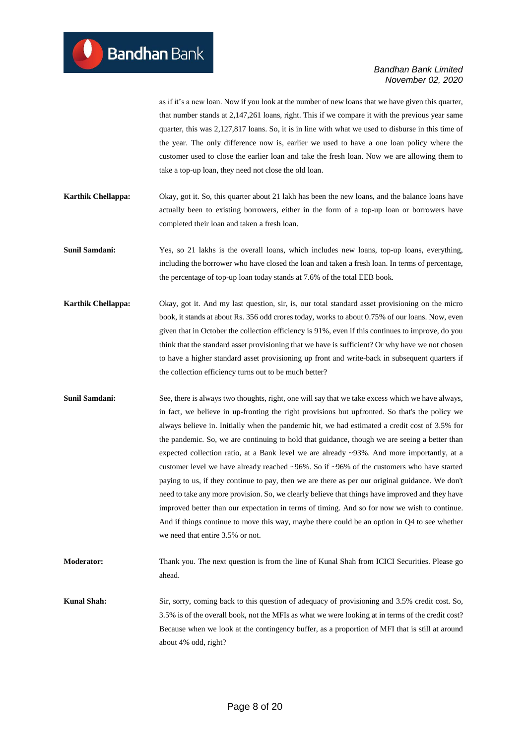as if it's a new loan. Now if you look at the number of new loans that we have given this quarter, that number stands at 2,147,261 loans, right. This if we compare it with the previous year same quarter, this was 2,127,817 loans. So, it is in line with what we used to disburse in this time of the year. The only difference now is, earlier we used to have a one loan policy where the customer used to close the earlier loan and take the fresh loan. Now we are allowing them to take a top-up loan, they need not close the old loan.

- **Karthik Chellappa:** Okay, got it. So, this quarter about 21 lakh has been the new loans, and the balance loans have actually been to existing borrowers, either in the form of a top-up loan or borrowers have completed their loan and taken a fresh loan.
- **Sunil Samdani:** Yes, so 21 lakhs is the overall loans, which includes new loans, top-up loans, everything, including the borrower who have closed the loan and taken a fresh loan. In terms of percentage, the percentage of top-up loan today stands at 7.6% of the total EEB book.
- **Karthik Chellappa:** Okay, got it. And my last question, sir, is, our total standard asset provisioning on the micro book, it stands at about Rs. 356 odd crores today, works to about 0.75% of our loans. Now, even given that in October the collection efficiency is 91%, even if this continues to improve, do you think that the standard asset provisioning that we have is sufficient? Or why have we not chosen to have a higher standard asset provisioning up front and write-back in subsequent quarters if the collection efficiency turns out to be much better?
- **Sunil Samdani:** See, there is always two thoughts, right, one will say that we take excess which we have always, in fact, we believe in up-fronting the right provisions but upfronted. So that's the policy we always believe in. Initially when the pandemic hit, we had estimated a credit cost of 3.5% for the pandemic. So, we are continuing to hold that guidance, though we are seeing a better than expected collection ratio, at a Bank level we are already ~93%. And more importantly, at a customer level we have already reached ~96%. So if ~96% of the customers who have started paying to us, if they continue to pay, then we are there as per our original guidance. We don't need to take any more provision. So, we clearly believe that things have improved and they have improved better than our expectation in terms of timing. And so for now we wish to continue. And if things continue to move this way, maybe there could be an option in Q4 to see whether we need that entire 3.5% or not.
- **Moderator:** Thank you. The next question is from the line of Kunal Shah from ICICI Securities. Please go ahead.
- **Kunal Shah:** Sir, sorry, coming back to this question of adequacy of provisioning and 3.5% credit cost. So, 3.5% is of the overall book, not the MFIs as what we were looking at in terms of the credit cost? Because when we look at the contingency buffer, as a proportion of MFI that is still at around about 4% odd, right?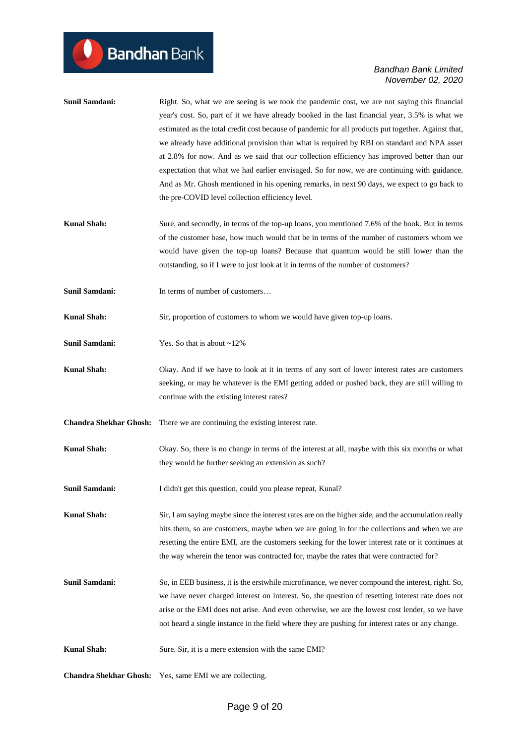|                               | year's cost. So, part of it we have already booked in the last financial year, 3.5% is what we<br>estimated as the total credit cost because of pandemic for all products put together. Against that,<br>we already have additional provision than what is required by RBI on standard and NPA asset<br>at 2.8% for now. And as we said that our collection efficiency has improved better than our<br>expectation that what we had earlier envisaged. So for now, we are continuing with guidance.<br>And as Mr. Ghosh mentioned in his opening remarks, in next 90 days, we expect to go back to<br>the pre-COVID level collection efficiency level. |
|-------------------------------|--------------------------------------------------------------------------------------------------------------------------------------------------------------------------------------------------------------------------------------------------------------------------------------------------------------------------------------------------------------------------------------------------------------------------------------------------------------------------------------------------------------------------------------------------------------------------------------------------------------------------------------------------------|
| <b>Kunal Shah:</b>            | Sure, and secondly, in terms of the top-up loans, you mentioned 7.6% of the book. But in terms<br>of the customer base, how much would that be in terms of the number of customers whom we<br>would have given the top-up loans? Because that quantum would be still lower than the<br>outstanding, so if I were to just look at it in terms of the number of customers?                                                                                                                                                                                                                                                                               |
| <b>Sunil Samdani:</b>         | In terms of number of customers                                                                                                                                                                                                                                                                                                                                                                                                                                                                                                                                                                                                                        |
| <b>Kunal Shah:</b>            | Sir, proportion of customers to whom we would have given top-up loans.                                                                                                                                                                                                                                                                                                                                                                                                                                                                                                                                                                                 |
| <b>Sunil Samdani:</b>         | Yes. So that is about $\sim$ 12%                                                                                                                                                                                                                                                                                                                                                                                                                                                                                                                                                                                                                       |
| <b>Kunal Shah:</b>            | Okay. And if we have to look at it in terms of any sort of lower interest rates are customers<br>seeking, or may be whatever is the EMI getting added or pushed back, they are still willing to<br>continue with the existing interest rates?                                                                                                                                                                                                                                                                                                                                                                                                          |
| <b>Chandra Shekhar Ghosh:</b> | There we are continuing the existing interest rate.                                                                                                                                                                                                                                                                                                                                                                                                                                                                                                                                                                                                    |
| <b>Kunal Shah:</b>            | Okay. So, there is no change in terms of the interest at all, maybe with this six months or what<br>they would be further seeking an extension as such?                                                                                                                                                                                                                                                                                                                                                                                                                                                                                                |
| <b>Sunil Samdani:</b>         | I didn't get this question, could you please repeat, Kunal?                                                                                                                                                                                                                                                                                                                                                                                                                                                                                                                                                                                            |
| <b>Kunal Shah:</b>            | Sir, I am saying maybe since the interest rates are on the higher side, and the accumulation really<br>hits them, so are customers, maybe when we are going in for the collections and when we are<br>resetting the entire EMI, are the customers seeking for the lower interest rate or it continues at<br>the way wherein the tenor was contracted for, maybe the rates that were contracted for?                                                                                                                                                                                                                                                    |
| Sunil Samdani:                | So, in EEB business, it is the erstwhile microfinance, we never compound the interest, right. So,<br>we have never charged interest on interest. So, the question of resetting interest rate does not<br>arise or the EMI does not arise. And even otherwise, we are the lowest cost lender, so we have<br>not heard a single instance in the field where they are pushing for interest rates or any change.                                                                                                                                                                                                                                           |
| <b>Kunal Shah:</b>            | Sure. Sir, it is a mere extension with the same EMI?                                                                                                                                                                                                                                                                                                                                                                                                                                                                                                                                                                                                   |

**Sunil Samdani:** Right. So, what we are seeing is we took the pandemic cost, we are not saying this financial

**Chandra Shekhar Ghosh:** Yes, same EMI we are collecting.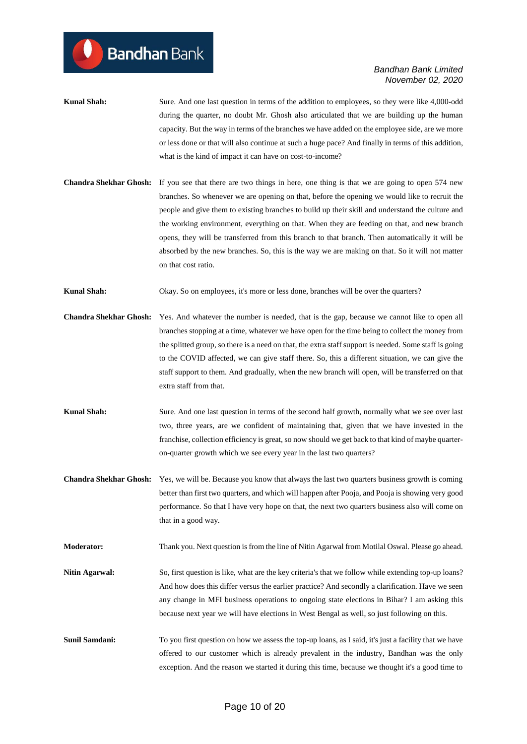- **Kunal Shah:** Sure. And one last question in terms of the addition to employees, so they were like 4,000-odd during the quarter, no doubt Mr. Ghosh also articulated that we are building up the human capacity. But the way in terms of the branches we have added on the employee side, are we more or less done or that will also continue at such a huge pace? And finally in terms of this addition, what is the kind of impact it can have on cost-to-income?
- **Chandra Shekhar Ghosh:** If you see that there are two things in here, one thing is that we are going to open 574 new branches. So whenever we are opening on that, before the opening we would like to recruit the people and give them to existing branches to build up their skill and understand the culture and the working environment, everything on that. When they are feeding on that, and new branch opens, they will be transferred from this branch to that branch. Then automatically it will be absorbed by the new branches. So, this is the way we are making on that. So it will not matter on that cost ratio.

**Kunal Shah:** Okay. So on employees, it's more or less done, branches will be over the quarters?

- **Chandra Shekhar Ghosh:** Yes. And whatever the number is needed, that is the gap, because we cannot like to open all branches stopping at a time, whatever we have open for the time being to collect the money from the splitted group, so there is a need on that, the extra staff support is needed. Some staff is going to the COVID affected, we can give staff there. So, this a different situation, we can give the staff support to them. And gradually, when the new branch will open, will be transferred on that extra staff from that.
- **Kunal Shah:** Sure. And one last question in terms of the second half growth, normally what we see over last two, three years, are we confident of maintaining that, given that we have invested in the franchise, collection efficiency is great, so now should we get back to that kind of maybe quarteron-quarter growth which we see every year in the last two quarters?
- **Chandra Shekhar Ghosh:** Yes, we will be. Because you know that always the last two quarters business growth is coming better than first two quarters, and which will happen after Pooja, and Pooja is showing very good performance. So that I have very hope on that, the next two quarters business also will come on that in a good way.

**Moderator:** Thank you. Next question is from the line of Nitin Agarwal from Motilal Oswal. Please go ahead.

- **Nitin Agarwal:** So, first question is like, what are the key criteria's that we follow while extending top-up loans? And how does this differ versus the earlier practice? And secondly a clarification. Have we seen any change in MFI business operations to ongoing state elections in Bihar? I am asking this because next year we will have elections in West Bengal as well, so just following on this.
- **Sunil Samdani:** To you first question on how we assess the top-up loans, as I said, it's just a facility that we have offered to our customer which is already prevalent in the industry, Bandhan was the only exception. And the reason we started it during this time, because we thought it's a good time to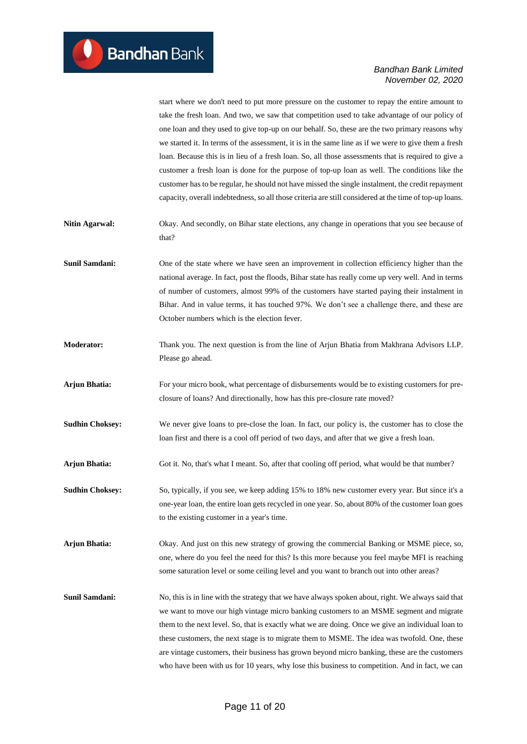|                        | start where we don't need to put more pressure on the customer to repay the entire amount to<br>take the fresh loan. And two, we saw that competition used to take advantage of our policy of<br>one loan and they used to give top-up on our behalf. So, these are the two primary reasons why<br>we started it. In terms of the assessment, it is in the same line as if we were to give them a fresh<br>loan. Because this is in lieu of a fresh loan. So, all those assessments that is required to give a<br>customer a fresh loan is done for the purpose of top-up loan as well. The conditions like the<br>customer has to be regular, he should not have missed the single instalment, the credit repayment<br>capacity, overall indebtedness, so all those criteria are still considered at the time of top-up loans. |
|------------------------|---------------------------------------------------------------------------------------------------------------------------------------------------------------------------------------------------------------------------------------------------------------------------------------------------------------------------------------------------------------------------------------------------------------------------------------------------------------------------------------------------------------------------------------------------------------------------------------------------------------------------------------------------------------------------------------------------------------------------------------------------------------------------------------------------------------------------------|
| <b>Nitin Agarwal:</b>  | Okay. And secondly, on Bihar state elections, any change in operations that you see because of<br>that?                                                                                                                                                                                                                                                                                                                                                                                                                                                                                                                                                                                                                                                                                                                         |
| <b>Sunil Samdani:</b>  | One of the state where we have seen an improvement in collection efficiency higher than the<br>national average. In fact, post the floods, Bihar state has really come up very well. And in terms<br>of number of customers, almost 99% of the customers have started paying their instalment in<br>Bihar. And in value terms, it has touched 97%. We don't see a challenge there, and these are<br>October numbers which is the election fever.                                                                                                                                                                                                                                                                                                                                                                                |
| <b>Moderator:</b>      | Thank you. The next question is from the line of Arjun Bhatia from Makhrana Advisors LLP.<br>Please go ahead.                                                                                                                                                                                                                                                                                                                                                                                                                                                                                                                                                                                                                                                                                                                   |
| <b>Arjun Bhatia:</b>   | For your micro book, what percentage of disbursements would be to existing customers for pre-<br>closure of loans? And directionally, how has this pre-closure rate moved?                                                                                                                                                                                                                                                                                                                                                                                                                                                                                                                                                                                                                                                      |
| <b>Sudhin Choksey:</b> | We never give loans to pre-close the loan. In fact, our policy is, the customer has to close the<br>loan first and there is a cool off period of two days, and after that we give a fresh loan.                                                                                                                                                                                                                                                                                                                                                                                                                                                                                                                                                                                                                                 |
| <b>Arjun Bhatia:</b>   | Got it. No, that's what I meant. So, after that cooling off period, what would be that number?                                                                                                                                                                                                                                                                                                                                                                                                                                                                                                                                                                                                                                                                                                                                  |
| <b>Sudhin Choksey:</b> | So, typically, if you see, we keep adding 15% to 18% new customer every year. But since it's a<br>one-year loan, the entire loan gets recycled in one year. So, about 80% of the customer loan goes<br>to the existing customer in a year's time.                                                                                                                                                                                                                                                                                                                                                                                                                                                                                                                                                                               |
| Arjun Bhatia:          | Okay. And just on this new strategy of growing the commercial Banking or MSME piece, so,<br>one, where do you feel the need for this? Is this more because you feel maybe MFI is reaching<br>some saturation level or some ceiling level and you want to branch out into other areas?                                                                                                                                                                                                                                                                                                                                                                                                                                                                                                                                           |
| <b>Sunil Samdani:</b>  | No, this is in line with the strategy that we have always spoken about, right. We always said that<br>we want to move our high vintage micro banking customers to an MSME segment and migrate<br>them to the next level. So, that is exactly what we are doing. Once we give an individual loan to<br>these customers, the next stage is to migrate them to MSME. The idea was twofold. One, these<br>are vintage customers, their business has grown beyond micro banking, these are the customers<br>who have been with us for 10 years, why lose this business to competition. And in fact, we can                                                                                                                                                                                                                           |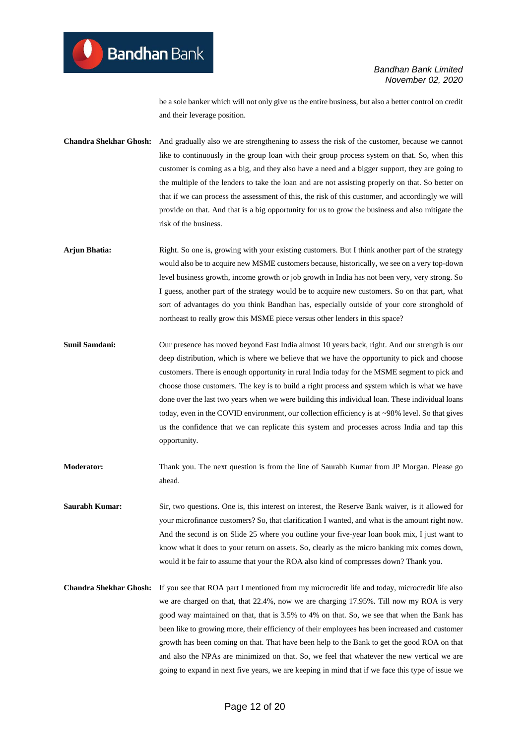be a sole banker which will not only give us the entire business, but also a better control on credit and their leverage position.

**Chandra Shekhar Ghosh:** And gradually also we are strengthening to assess the risk of the customer, because we cannot like to continuously in the group loan with their group process system on that. So, when this customer is coming as a big, and they also have a need and a bigger support, they are going to the multiple of the lenders to take the loan and are not assisting properly on that. So better on that if we can process the assessment of this, the risk of this customer, and accordingly we will provide on that. And that is a big opportunity for us to grow the business and also mitigate the risk of the business.

- **Arjun Bhatia:** Right. So one is, growing with your existing customers. But I think another part of the strategy would also be to acquire new MSME customers because, historically, we see on a very top-down level business growth, income growth or job growth in India has not been very, very strong. So I guess, another part of the strategy would be to acquire new customers. So on that part, what sort of advantages do you think Bandhan has, especially outside of your core stronghold of northeast to really grow this MSME piece versus other lenders in this space?
- **Sunil Samdani:** Our presence has moved beyond East India almost 10 years back, right. And our strength is our deep distribution, which is where we believe that we have the opportunity to pick and choose customers. There is enough opportunity in rural India today for the MSME segment to pick and choose those customers. The key is to build a right process and system which is what we have done over the last two years when we were building this individual loan. These individual loans today, even in the COVID environment, our collection efficiency is at ~98% level. So that gives us the confidence that we can replicate this system and processes across India and tap this opportunity.
- **Moderator:** Thank you. The next question is from the line of Saurabh Kumar from JP Morgan. Please go ahead.

**Saurabh Kumar:** Sir, two questions. One is, this interest on interest, the Reserve Bank waiver, is it allowed for your microfinance customers? So, that clarification I wanted, and what is the amount right now. And the second is on Slide 25 where you outline your five-year loan book mix, I just want to know what it does to your return on assets. So, clearly as the micro banking mix comes down, would it be fair to assume that your the ROA also kind of compresses down? Thank you.

**Chandra Shekhar Ghosh:** If you see that ROA part I mentioned from my microcredit life and today, microcredit life also we are charged on that, that 22.4%, now we are charging 17.95%. Till now my ROA is very good way maintained on that, that is 3.5% to 4% on that. So, we see that when the Bank has been like to growing more, their efficiency of their employees has been increased and customer growth has been coming on that. That have been help to the Bank to get the good ROA on that and also the NPAs are minimized on that. So, we feel that whatever the new vertical we are going to expand in next five years, we are keeping in mind that if we face this type of issue we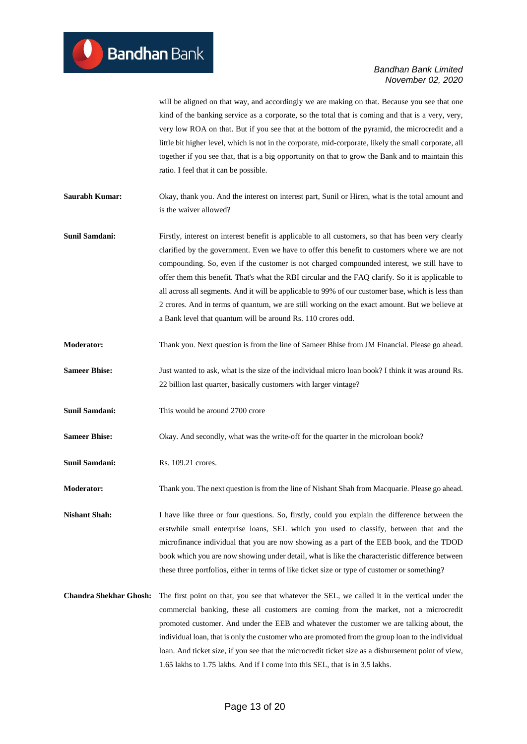will be aligned on that way, and accordingly we are making on that. Because you see that one kind of the banking service as a corporate, so the total that is coming and that is a very, very, very low ROA on that. But if you see that at the bottom of the pyramid, the microcredit and a little bit higher level, which is not in the corporate, mid-corporate, likely the small corporate, all together if you see that, that is a big opportunity on that to grow the Bank and to maintain this ratio. I feel that it can be possible.

**Saurabh Kumar:** Okay, thank you. And the interest on interest part, Sunil or Hiren, what is the total amount and is the waiver allowed?

**Sunil Samdani:** Firstly, interest on interest benefit is applicable to all customers, so that has been very clearly clarified by the government. Even we have to offer this benefit to customers where we are not compounding. So, even if the customer is not charged compounded interest, we still have to offer them this benefit. That's what the RBI circular and the FAQ clarify. So it is applicable to all across all segments. And it will be applicable to 99% of our customer base, which is less than 2 crores. And in terms of quantum, we are still working on the exact amount. But we believe at a Bank level that quantum will be around Rs. 110 crores odd.

- **Moderator:** Thank you. Next question is from the line of Sameer Bhise from JM Financial. Please go ahead.
- **Sameer Bhise:** Just wanted to ask, what is the size of the individual micro loan book? I think it was around Rs. 22 billion last quarter, basically customers with larger vintage?
- **Sunil Samdani:** This would be around 2700 crore

**Sameer Bhise:** Okay. And secondly, what was the write-off for the quarter in the microloan book?

**Sunil Samdani:** Rs. 109.21 crores.

**Moderator:** Thank you. The next question is from the line of Nishant Shah from Macquarie. Please go ahead.

**Nishant Shah:** I have like three or four questions. So, firstly, could you explain the difference between the erstwhile small enterprise loans, SEL which you used to classify, between that and the microfinance individual that you are now showing as a part of the EEB book, and the TDOD book which you are now showing under detail, what is like the characteristic difference between these three portfolios, either in terms of like ticket size or type of customer or something?

**Chandra Shekhar Ghosh:** The first point on that, you see that whatever the SEL, we called it in the vertical under the commercial banking, these all customers are coming from the market, not a microcredit promoted customer. And under the EEB and whatever the customer we are talking about, the individual loan, that is only the customer who are promoted from the group loan to the individual loan. And ticket size, if you see that the microcredit ticket size as a disbursement point of view, 1.65 lakhs to 1.75 lakhs. And if I come into this SEL, that is in 3.5 lakhs.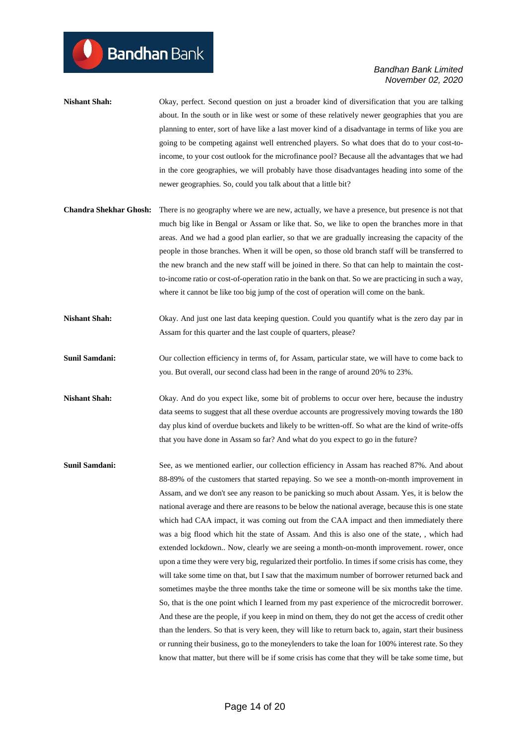- **Nishant Shah:** Okay, perfect. Second question on just a broader kind of diversification that you are talking about. In the south or in like west or some of these relatively newer geographies that you are planning to enter, sort of have like a last mover kind of a disadvantage in terms of like you are going to be competing against well entrenched players. So what does that do to your cost-toincome, to your cost outlook for the microfinance pool? Because all the advantages that we had in the core geographies, we will probably have those disadvantages heading into some of the newer geographies. So, could you talk about that a little bit?
- **Chandra Shekhar Ghosh:** There is no geography where we are new, actually, we have a presence, but presence is not that much big like in Bengal or Assam or like that. So, we like to open the branches more in that areas. And we had a good plan earlier, so that we are gradually increasing the capacity of the people in those branches. When it will be open, so those old branch staff will be transferred to the new branch and the new staff will be joined in there. So that can help to maintain the costto-income ratio or cost-of-operation ratio in the bank on that. So we are practicing in such a way, where it cannot be like too big jump of the cost of operation will come on the bank.
- **Nishant Shah:** Okay. And just one last data keeping question. Could you quantify what is the zero day par in Assam for this quarter and the last couple of quarters, please?
- **Sunil Samdani:** Our collection efficiency in terms of, for Assam, particular state, we will have to come back to you. But overall, our second class had been in the range of around 20% to 23%.
- **Nishant Shah:** Okay. And do you expect like, some bit of problems to occur over here, because the industry data seems to suggest that all these overdue accounts are progressively moving towards the 180 day plus kind of overdue buckets and likely to be written-off. So what are the kind of write-offs that you have done in Assam so far? And what do you expect to go in the future?
- **Sunil Samdani:** See, as we mentioned earlier, our collection efficiency in Assam has reached 87%. And about 88-89% of the customers that started repaying. So we see a month-on-month improvement in Assam, and we don't see any reason to be panicking so much about Assam. Yes, it is below the national average and there are reasons to be below the national average, because this is one state which had CAA impact, it was coming out from the CAA impact and then immediately there was a big flood which hit the state of Assam. And this is also one of the state, , which had extended lockdown.. Now, clearly we are seeing a month-on-month improvement. rower, once upon a time they were very big, regularized their portfolio. In times if some crisis has come, they will take some time on that, but I saw that the maximum number of borrower returned back and sometimes maybe the three months take the time or someone will be six months take the time. So, that is the one point which I learned from my past experience of the microcredit borrower. And these are the people, if you keep in mind on them, they do not get the access of credit other than the lenders. So that is very keen, they will like to return back to, again, start their business or running their business, go to the moneylenders to take the loan for 100% interest rate. So they know that matter, but there will be if some crisis has come that they will be take some time, but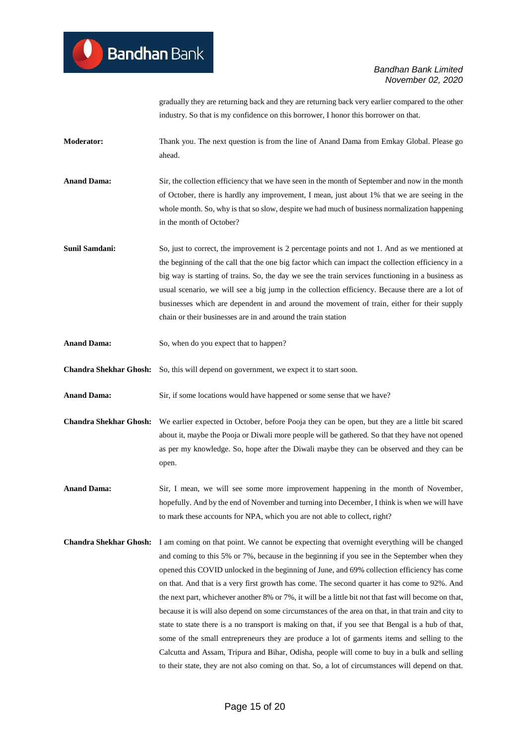gradually they are returning back and they are returning back very earlier compared to the other industry. So that is my confidence on this borrower, I honor this borrower on that.

- **Moderator:** Thank you. The next question is from the line of Anand Dama from Emkay Global. Please go ahead.
- **Anand Dama:** Sir, the collection efficiency that we have seen in the month of September and now in the month of October, there is hardly any improvement, I mean, just about 1% that we are seeing in the whole month. So, why is that so slow, despite we had much of business normalization happening in the month of October?
- **Sunil Samdani:** So, just to correct, the improvement is 2 percentage points and not 1. And as we mentioned at the beginning of the call that the one big factor which can impact the collection efficiency in a big way is starting of trains. So, the day we see the train services functioning in a business as usual scenario, we will see a big jump in the collection efficiency. Because there are a lot of businesses which are dependent in and around the movement of train, either for their supply chain or their businesses are in and around the train station
- **Anand Dama:** So, when do you expect that to happen?

**Chandra Shekhar Ghosh:** So, this will depend on government, we expect it to start soon.

**Anand Dama:** Sir, if some locations would have happened or some sense that we have?

**Chandra Shekhar Ghosh:** We earlier expected in October, before Pooja they can be open, but they are a little bit scared about it, maybe the Pooja or Diwali more people will be gathered. So that they have not opened as per my knowledge. So, hope after the Diwali maybe they can be observed and they can be open.

- **Anand Dama:** Sir, I mean, we will see some more improvement happening in the month of November, hopefully. And by the end of November and turning into December, I think is when we will have to mark these accounts for NPA, which you are not able to collect, right?
- **Chandra Shekhar Ghosh:** I am coming on that point. We cannot be expecting that overnight everything will be changed and coming to this 5% or 7%, because in the beginning if you see in the September when they opened this COVID unlocked in the beginning of June, and 69% collection efficiency has come on that. And that is a very first growth has come. The second quarter it has come to 92%. And the next part, whichever another 8% or 7%, it will be a little bit not that fast will become on that, because it is will also depend on some circumstances of the area on that, in that train and city to state to state there is a no transport is making on that, if you see that Bengal is a hub of that, some of the small entrepreneurs they are produce a lot of garments items and selling to the Calcutta and Assam, Tripura and Bihar, Odisha, people will come to buy in a bulk and selling to their state, they are not also coming on that. So, a lot of circumstances will depend on that.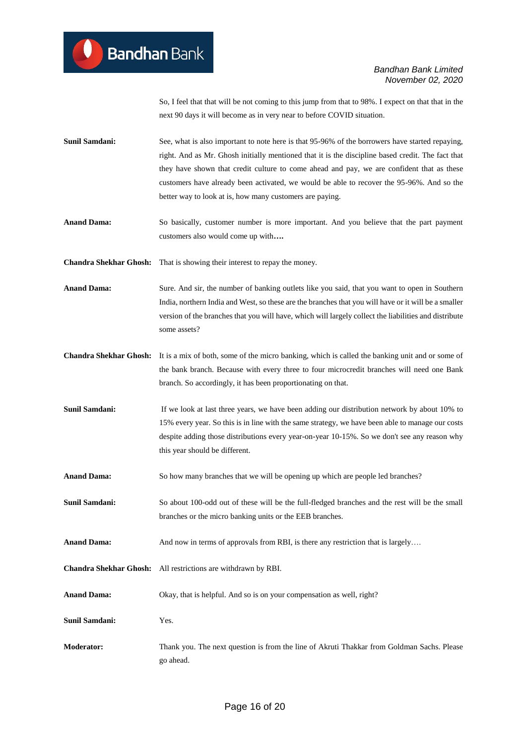So, I feel that that will be not coming to this jump from that to 98%. I expect on that that in the next 90 days it will become as in very near to before COVID situation.

- **Sunil Samdani:** See, what is also important to note here is that 95-96% of the borrowers have started repaying, right. And as Mr. Ghosh initially mentioned that it is the discipline based credit. The fact that they have shown that credit culture to come ahead and pay, we are confident that as these customers have already been activated, we would be able to recover the 95-96%. And so the better way to look at is, how many customers are paying.
- **Anand Dama:** So basically, customer number is more important. And you believe that the part payment customers also would come up with**….**

**Chandra Shekhar Ghosh:** That is showing their interest to repay the money.

- **Anand Dama:** Sure. And sir, the number of banking outlets like you said, that you want to open in Southern India, northern India and West, so these are the branches that you will have or it will be a smaller version of the branches that you will have, which will largely collect the liabilities and distribute some assets?
- **Chandra Shekhar Ghosh:** It is a mix of both, some of the micro banking, which is called the banking unit and or some of the bank branch. Because with every three to four microcredit branches will need one Bank branch. So accordingly, it has been proportionating on that.
- **Sunil Samdani:** If we look at last three years, we have been adding our distribution network by about 10% to 15% every year. So this is in line with the same strategy, we have been able to manage our costs despite adding those distributions every year-on-year 10-15%. So we don't see any reason why this year should be different.
- **Anand Dama:** So how many branches that we will be opening up which are people led branches?
- **Sunil Samdani:** So about 100-odd out of these will be the full-fledged branches and the rest will be the small branches or the micro banking units or the EEB branches.
- **Anand Dama:** And now in terms of approvals from RBI, is there any restriction that is largely...
- **Chandra Shekhar Ghosh:** All restrictions are withdrawn by RBI.
- **Anand Dama:** Okay, that is helpful. And so is on your compensation as well, right?

**Sunil Samdani:** Yes.

**Moderator:** Thank you. The next question is from the line of Akruti Thakkar from Goldman Sachs. Please go ahead.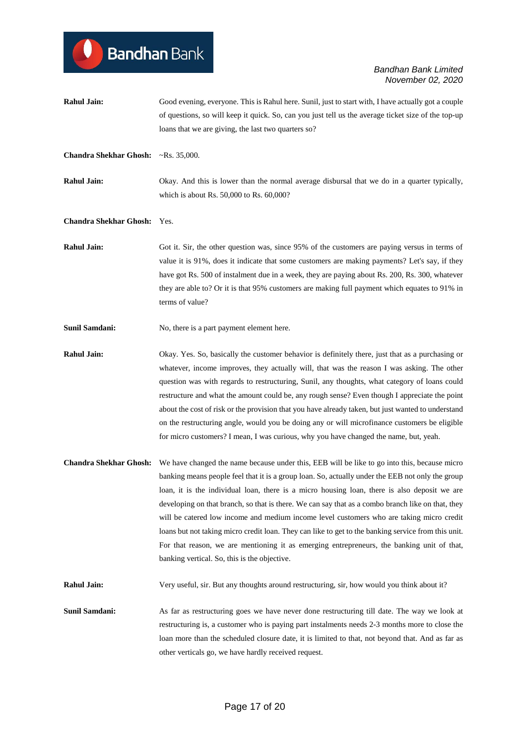# **Bandhan** Bank

#### *Bandhan Bank Limited November 02, 2020*

- **Rahul Jain:** Good evening, everyone. This is Rahul here. Sunil, just to start with, I have actually got a couple of questions, so will keep it quick. So, can you just tell us the average ticket size of the top-up loans that we are giving, the last two quarters so?
- **Chandra Shekhar Ghosh:** ~Rs. 35,000.
- **Rahul Jain:** Okay. And this is lower than the normal average disbursal that we do in a quarter typically, which is about Rs. 50,000 to Rs. 60,000?

#### **Chandra Shekhar Ghosh:** Yes.

- **Rahul Jain:** Got it. Sir, the other question was, since 95% of the customers are paying versus in terms of value it is 91%, does it indicate that some customers are making payments? Let's say, if they have got Rs. 500 of instalment due in a week, they are paying about Rs. 200, Rs. 300, whatever they are able to? Or it is that 95% customers are making full payment which equates to 91% in terms of value?
- **Sunil Samdani:** No, there is a part payment element here.

**Rahul Jain:** Okay. Yes. So, basically the customer behavior is definitely there, just that as a purchasing or whatever, income improves, they actually will, that was the reason I was asking. The other question was with regards to restructuring, Sunil, any thoughts, what category of loans could restructure and what the amount could be, any rough sense? Even though I appreciate the point about the cost of risk or the provision that you have already taken, but just wanted to understand on the restructuring angle, would you be doing any or will microfinance customers be eligible for micro customers? I mean, I was curious, why you have changed the name, but, yeah.

**Chandra Shekhar Ghosh:** We have changed the name because under this, EEB will be like to go into this, because micro banking means people feel that it is a group loan. So, actually under the EEB not only the group loan, it is the individual loan, there is a micro housing loan, there is also deposit we are developing on that branch, so that is there. We can say that as a combo branch like on that, they will be catered low income and medium income level customers who are taking micro credit loans but not taking micro credit loan. They can like to get to the banking service from this unit. For that reason, we are mentioning it as emerging entrepreneurs, the banking unit of that, banking vertical. So, this is the objective.

**Rahul Jain:** Very useful, sir. But any thoughts around restructuring, sir, how would you think about it?

**Sunil Samdani:** As far as restructuring goes we have never done restructuring till date. The way we look at restructuring is, a customer who is paying part instalments needs 2-3 months more to close the loan more than the scheduled closure date, it is limited to that, not beyond that. And as far as other verticals go, we have hardly received request.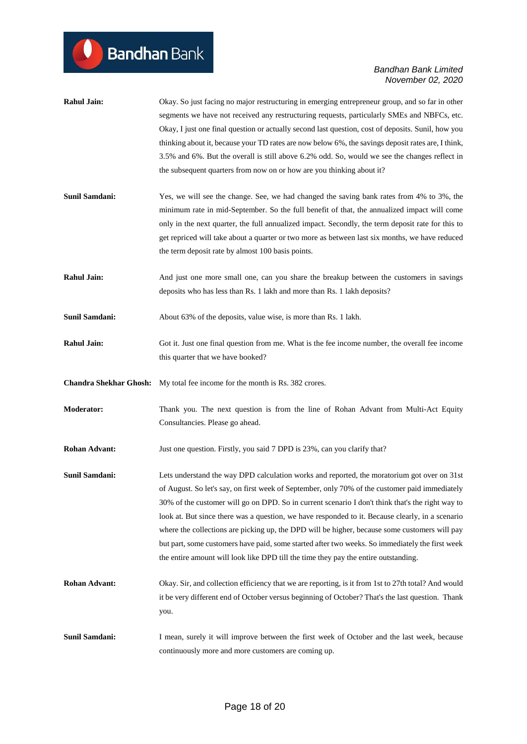$\bullet$ 

| <b>Rahul Jain:</b>            | Okay. So just facing no major restructuring in emerging entrepreneur group, and so far in other<br>segments we have not received any restructuring requests, particularly SMEs and NBFCs, etc.<br>Okay, I just one final question or actually second last question, cost of deposits. Sunil, how you<br>thinking about it, because your TD rates are now below 6%, the savings deposit rates are, I think,<br>3.5% and 6%. But the overall is still above 6.2% odd. So, would we see the changes reflect in<br>the subsequent quarters from now on or how are you thinking about it?                                                                                                             |
|-------------------------------|--------------------------------------------------------------------------------------------------------------------------------------------------------------------------------------------------------------------------------------------------------------------------------------------------------------------------------------------------------------------------------------------------------------------------------------------------------------------------------------------------------------------------------------------------------------------------------------------------------------------------------------------------------------------------------------------------|
| <b>Sunil Samdani:</b>         | Yes, we will see the change. See, we had changed the saving bank rates from 4% to 3%, the<br>minimum rate in mid-September. So the full benefit of that, the annualized impact will come<br>only in the next quarter, the full annualized impact. Secondly, the term deposit rate for this to<br>get repriced will take about a quarter or two more as between last six months, we have reduced<br>the term deposit rate by almost 100 basis points.                                                                                                                                                                                                                                             |
| <b>Rahul Jain:</b>            | And just one more small one, can you share the breakup between the customers in savings<br>deposits who has less than Rs. 1 lakh and more than Rs. 1 lakh deposits?                                                                                                                                                                                                                                                                                                                                                                                                                                                                                                                              |
| Sunil Samdani:                | About 63% of the deposits, value wise, is more than Rs. 1 lakh.                                                                                                                                                                                                                                                                                                                                                                                                                                                                                                                                                                                                                                  |
| <b>Rahul Jain:</b>            | Got it. Just one final question from me. What is the fee income number, the overall fee income<br>this quarter that we have booked?                                                                                                                                                                                                                                                                                                                                                                                                                                                                                                                                                              |
| <b>Chandra Shekhar Ghosh:</b> | My total fee income for the month is Rs. 382 crores.                                                                                                                                                                                                                                                                                                                                                                                                                                                                                                                                                                                                                                             |
| <b>Moderator:</b>             | Thank you. The next question is from the line of Rohan Advant from Multi-Act Equity<br>Consultancies. Please go ahead.                                                                                                                                                                                                                                                                                                                                                                                                                                                                                                                                                                           |
| <b>Rohan Advant:</b>          | Just one question. Firstly, you said 7 DPD is 23%, can you clarify that?                                                                                                                                                                                                                                                                                                                                                                                                                                                                                                                                                                                                                         |
| <b>Sunil Samdani:</b>         | Lets understand the way DPD calculation works and reported, the moratorium got over on 31st<br>of August. So let's say, on first week of September, only 70% of the customer paid immediately<br>30% of the customer will go on DPD. So in current scenario I don't think that's the right way to<br>look at. But since there was a question, we have responded to it. Because clearly, in a scenario<br>where the collections are picking up, the DPD will be higher, because some customers will pay<br>but part, some customers have paid, some started after two weeks. So immediately the first week<br>the entire amount will look like DPD till the time they pay the entire outstanding. |
| <b>Rohan Advant:</b>          | Okay. Sir, and collection efficiency that we are reporting, is it from 1st to 27th total? And would<br>it be very different end of October versus beginning of October? That's the last question. Thank<br>you.                                                                                                                                                                                                                                                                                                                                                                                                                                                                                  |
| Sunil Samdani:                | I mean, surely it will improve between the first week of October and the last week, because<br>continuously more and more customers are coming up.                                                                                                                                                                                                                                                                                                                                                                                                                                                                                                                                               |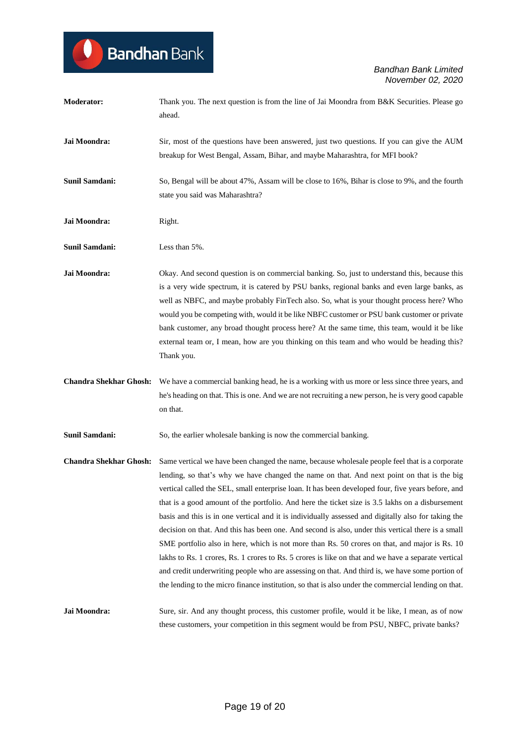| <b>Moderator:</b>             | Thank you. The next question is from the line of Jai Moondra from B&K Securities. Please go<br>ahead.                                                                                                                                                                                                                                                                                                                                                                                                                                                                                                                                                                                                                                                                                                                                                                                                                                                                                                                                                      |
|-------------------------------|------------------------------------------------------------------------------------------------------------------------------------------------------------------------------------------------------------------------------------------------------------------------------------------------------------------------------------------------------------------------------------------------------------------------------------------------------------------------------------------------------------------------------------------------------------------------------------------------------------------------------------------------------------------------------------------------------------------------------------------------------------------------------------------------------------------------------------------------------------------------------------------------------------------------------------------------------------------------------------------------------------------------------------------------------------|
| Jai Moondra:                  | Sir, most of the questions have been answered, just two questions. If you can give the AUM<br>breakup for West Bengal, Assam, Bihar, and maybe Maharashtra, for MFI book?                                                                                                                                                                                                                                                                                                                                                                                                                                                                                                                                                                                                                                                                                                                                                                                                                                                                                  |
| Sunil Samdani:                | So, Bengal will be about 47%, Assam will be close to 16%, Bihar is close to 9%, and the fourth<br>state you said was Maharashtra?                                                                                                                                                                                                                                                                                                                                                                                                                                                                                                                                                                                                                                                                                                                                                                                                                                                                                                                          |
| Jai Moondra:                  | Right.                                                                                                                                                                                                                                                                                                                                                                                                                                                                                                                                                                                                                                                                                                                                                                                                                                                                                                                                                                                                                                                     |
| <b>Sunil Samdani:</b>         | Less than 5%.                                                                                                                                                                                                                                                                                                                                                                                                                                                                                                                                                                                                                                                                                                                                                                                                                                                                                                                                                                                                                                              |
| Jai Moondra:                  | Okay. And second question is on commercial banking. So, just to understand this, because this<br>is a very wide spectrum, it is catered by PSU banks, regional banks and even large banks, as<br>well as NBFC, and maybe probably FinTech also. So, what is your thought process here? Who<br>would you be competing with, would it be like NBFC customer or PSU bank customer or private<br>bank customer, any broad thought process here? At the same time, this team, would it be like<br>external team or, I mean, how are you thinking on this team and who would be heading this?<br>Thank you.                                                                                                                                                                                                                                                                                                                                                                                                                                                      |
| <b>Chandra Shekhar Ghosh:</b> | We have a commercial banking head, he is a working with us more or less since three years, and<br>he's heading on that. This is one. And we are not recruiting a new person, he is very good capable<br>on that.                                                                                                                                                                                                                                                                                                                                                                                                                                                                                                                                                                                                                                                                                                                                                                                                                                           |
| <b>Sunil Samdani:</b>         | So, the earlier wholesale banking is now the commercial banking.                                                                                                                                                                                                                                                                                                                                                                                                                                                                                                                                                                                                                                                                                                                                                                                                                                                                                                                                                                                           |
|                               | Chandra Shekhar Ghosh: Same vertical we have been changed the name, because wholesale people feel that is a corporate<br>lending, so that's why we have changed the name on that. And next point on that is the big<br>vertical called the SEL, small enterprise loan. It has been developed four, five years before, and<br>that is a good amount of the portfolio. And here the ticket size is 3.5 lakhs on a disbursement<br>basis and this is in one vertical and it is individually assessed and digitally also for taking the<br>decision on that. And this has been one. And second is also, under this vertical there is a small<br>SME portfolio also in here, which is not more than Rs. 50 crores on that, and major is Rs. 10<br>lakhs to Rs. 1 crores, Rs. 1 crores to Rs. 5 crores is like on that and we have a separate vertical<br>and credit underwriting people who are assessing on that. And third is, we have some portion of<br>the lending to the micro finance institution, so that is also under the commercial lending on that. |
| Jai Moondra:                  | Sure, sir. And any thought process, this customer profile, would it be like, I mean, as of now<br>these customers, your competition in this segment would be from PSU, NBFC, private banks?                                                                                                                                                                                                                                                                                                                                                                                                                                                                                                                                                                                                                                                                                                                                                                                                                                                                |

**Bandhan** Bank